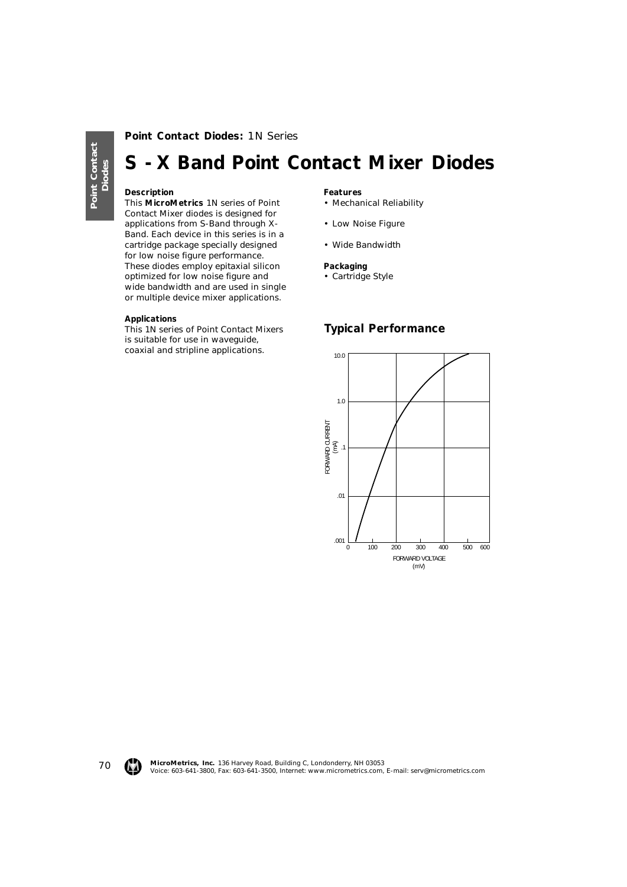70

## **Point Contact Diodes:** 1N Series

# **S - X Band Point Contact Mixer Diodes**

### **Description**

This **MicroMetrics** 1N series of Point Contact Mixer diodes is designed for applications from S-Band through X-Band. Each device in this series is in a cartridge package specially designed for low noise figure performance. These diodes employ epitaxial silicon optimized for low noise figure and wide bandwidth and are used in single or multiple device mixer applications.

#### **Applications**

This 1N series of Point Contact Mixers is suitable for use in waveguide, coaxial and stripline applications.

#### **Features**

- Mechanical Reliability
- Low Noise Figure
- Wide Bandwidth

#### **Packaging**

• Cartridge Style

## **Typical Performance**